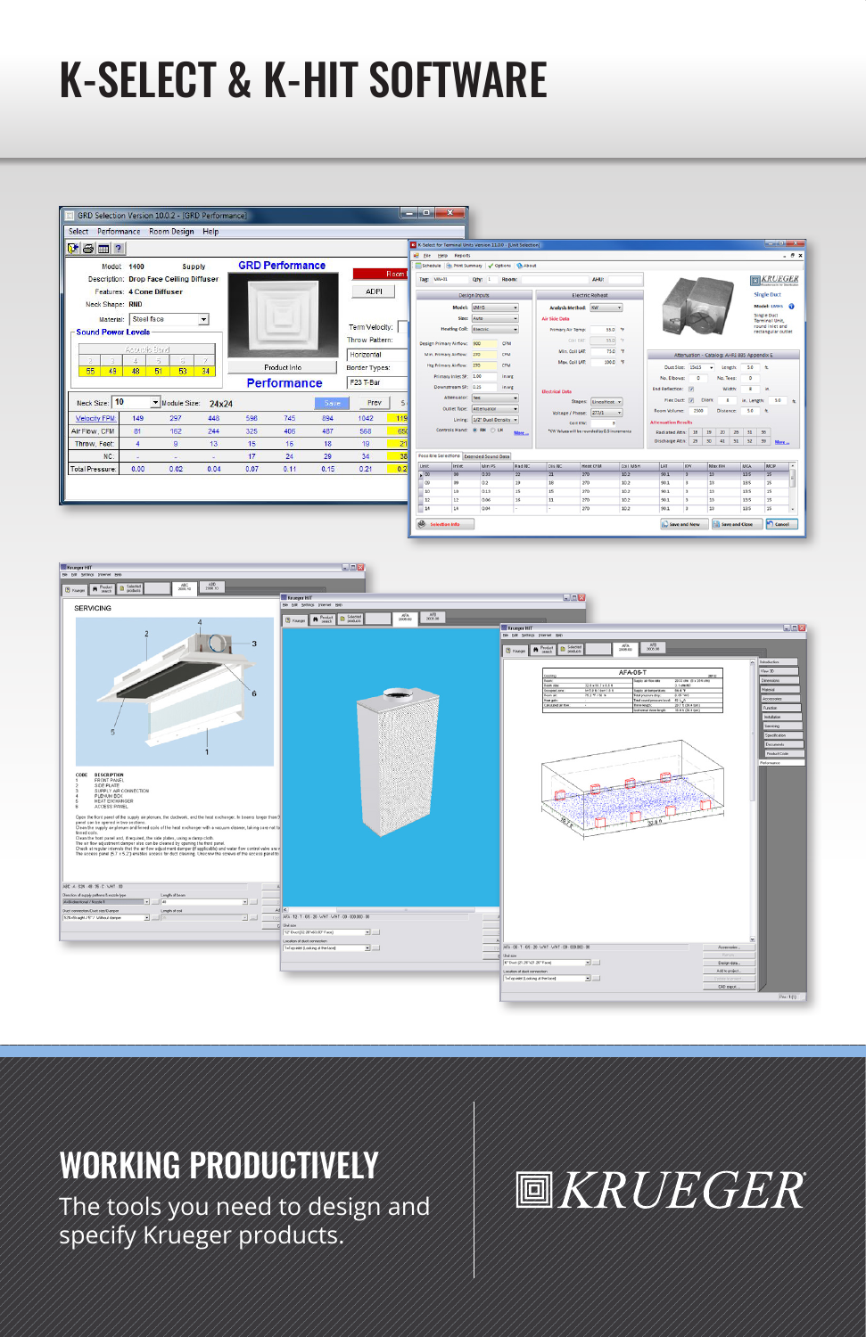# K-SELECT & K-HIT SOFTWARE

| Select Performance Room Design Help                                     |                                                |                                         |                |                |             |           |                                                       |                                                   |                   |                                                                                        |                                                           |                     |                                                                     |                                                                           |                  |                            |                                 |                                                    |                              | $-10-x$            |
|-------------------------------------------------------------------------|------------------------------------------------|-----------------------------------------|----------------|----------------|-------------|-----------|-------------------------------------------------------|---------------------------------------------------|-------------------|----------------------------------------------------------------------------------------|-----------------------------------------------------------|---------------------|---------------------------------------------------------------------|---------------------------------------------------------------------------|------------------|----------------------------|---------------------------------|----------------------------------------------------|------------------------------|--------------------|
| $\Psi$ $\oplus$ $\boxplus$ ?                                            |                                                |                                         |                |                |             |           |                                                       |                                                   |                   | K-Select for Terminal Units Version 11.0.0 - [Unit Selection]<br>all File Help Reports |                                                           |                     |                                                                     |                                                                           |                  |                            |                                 |                                                    |                              |                    |
| <b>GRD Performance</b><br>1400<br>Model:<br><b>Supply</b>               |                                                |                                         |                |                |             |           |                                                       | Schedule   Bi Print Summary   J Options   B About |                   |                                                                                        |                                                           |                     |                                                                     |                                                                           |                  |                            |                                 |                                                    |                              |                    |
|                                                                         |                                                | Description: Drop Face Ceiling Diffuser |                |                |             |           |                                                       | Room                                              | Tag: VAVO1        |                                                                                        | Oty: 1 Room:                                              |                     |                                                                     | AHU:                                                                      |                  |                            |                                 |                                                    |                              | KRUEGER            |
| <b>Features: 4 Cone Diffuser</b>                                        |                                                |                                         |                |                | <b>ADPI</b> |           |                                                       |                                                   | Design Inputs     |                                                                                        |                                                           |                     | Flectric Rebeat                                                     |                                                                           |                  |                            |                                 |                                                    |                              | <b>Single Duct</b> |
| Neck Shape: RND                                                         |                                                |                                         |                |                |             |           |                                                       |                                                   | Model: LMHS       |                                                                                        |                                                           | Analysis Method: KW |                                                                     |                                                                           |                  |                            |                                 |                                                    | Model: LMHS @                |                    |
| Steel face<br>$\bullet$<br><b>Material:</b>                             |                                                |                                         |                | Term Velocity: |             |           |                                                       |                                                   | Size:             | Auto.                                                                                  |                                                           | Air Side Data       |                                                                     |                                                                           |                  |                            |                                 |                                                    | Single Duct<br>Terminal Unit |                    |
| <b>Sound Power Levels</b>                                               |                                                |                                         |                |                |             |           |                                                       | <b>Heating Coll: Electric</b>                     |                   |                                                                                        | <b>Frimary Air Terror:</b>                                | 55.0 %<br>$55.0$ %  |                                                                     |                                                                           |                  |                            |                                 | cound inlet and<br>rectangular outlet              |                              |                    |
|                                                                         | Acoustic Band                                  |                                         |                |                |             |           | Throw Pattern:                                        |                                                   |                   | Design Primary Airflow: 900                                                            |                                                           | <b>CFM</b>          | Coll EAT:<br>Min. Coll LAT:                                         |                                                                           | 75.0 %           |                            |                                 |                                                    |                              |                    |
| $\Xi_{\rm c}$<br>s.<br>Product Info<br>34<br>55<br>48<br>51<br>53<br>49 |                                                |                                         |                |                | Horizontal  |           | Min. Primary Airflow: 270<br>Hts Primary Airflow: 270 |                                                   | CFM<br><b>CEM</b> |                                                                                        | Max Coll LAT                                              | 100.0 %             |                                                                     | Attenuation - Catalog: AHRI 885 Appendix E.<br>Duct Size: 15x15 . Length: |                  |                            |                                 |                                                    |                              |                    |
|                                                                         |                                                |                                         |                |                |             |           |                                                       | <b>Border Types:</b>                              |                   | Primary Inlet SP: 1.00                                                                 | in we<br>in wg                                            |                     |                                                                     |                                                                           |                  |                            | 50 11<br>$\alpha$               |                                                    |                              |                    |
| <b>Performance</b>                                                      |                                                |                                         |                |                |             | F23 T-Bar |                                                       | Downstream SP: 0.25                               |                   | <b>Electrical Data</b>                                                                 |                                                           |                     | No. Elbows:<br>$\sim$<br>No. Tees:<br>End Reflection: [7]<br>Width: |                                                                           |                  |                            | $8 - 10$                        |                                                    |                              |                    |
| Neck Size: 10<br>Module Size: 24x24<br>Prev<br>Save<br>5                |                                                |                                         |                |                |             |           |                                                       | Attenuator: Nea-                                  |                   |                                                                                        | Stages: Linealteat .                                      |                     |                                                                     | Flex Duct: (2) Diam:<br>8 in Length: 5.0 a                                |                  |                            |                                 |                                                    |                              |                    |
|                                                                         | 149<br>448<br>596<br>745<br>894<br>1042<br>297 |                                         |                |                | 119         |           | Outlet Type: Attenuator                               |                                                   |                   | Voltage / Fhase: 277/1                                                                 |                                                           |                     | Room Volume: 2500                                                   |                                                                           | Distance: 5.0 ft |                            |                                 |                                                    |                              |                    |
| Velocity FPM:<br>Air Flow, CFM                                          | 81                                             | 162                                     | 244            | 325            | 406         | 487       | 568                                                   | 650                                               |                   |                                                                                        | Lining: 1/2" Dual Density<br>Controls Hand: (8) RH (2) LH |                     | Coll KW<br>"YW Values will be rounded by 0.5 increments             |                                                                           |                  | <b>Attenuation Results</b> |                                 |                                                    |                              |                    |
| Throw, Feet:                                                            | A.                                             | ٠                                       | 13             | 15             | 16          | 18        | 19                                                    | 21                                                |                   |                                                                                        |                                                           |                     |                                                                     |                                                                           |                  | Radiated Attn: 38          |                                 | $19$<br>20 26<br>Discharge Attn: 29 30 41 51 52 39 | 31 36                        | More               |
| $NC-$                                                                   |                                                |                                         |                | 17             | 24          | 29        | 34                                                    | 38                                                |                   |                                                                                        | Possible Selections Extended Sound Data                   |                     |                                                                     |                                                                           |                  |                            |                                 |                                                    |                              |                    |
| <b>Total Pressure:</b>                                                  | ٠<br>0.00                                      | ٠<br>0.02                               | $\sim$<br>0.04 | 0.07           | 0.11        | 0.15      | 0.21                                                  | 0.21                                              | Linit             | Inlet                                                                                  | Min PS                                                    | <b>Rad NC</b>       | Dis NC                                                              | <b>Heat CFM</b>                                                           | Coll MBH         | <b>LAT</b>                 | Inv                             | Max KV                                             | <b>MCA</b>                   | MOR                |
|                                                                         |                                                |                                         |                |                |             |           |                                                       |                                                   | $-00$             | $\overline{1}$                                                                         | 0.33                                                      | $\overline{22}$     | 21                                                                  | $\frac{270}{270}$                                                         | 102              | 901                        |                                 | 11                                                 | 135                          | 25                 |
|                                                                         |                                                |                                         |                |                |             |           |                                                       |                                                   | 09                | co                                                                                     | 0.2                                                       | 19                  | 18                                                                  | 270                                                                       | 10.2             | 90.1                       |                                 | 13                                                 | 13.5                         | 15                 |
|                                                                         |                                                |                                         |                |                |             |           |                                                       |                                                   | 10<br>12          | 10<br>12                                                                               | 0.13<br>0.06                                              | 15<br>16            | 15<br>11                                                            | 270<br>270                                                                | 10.2<br>10.2     | 90.1<br>90.1               | $\overline{\phantom{a}}$<br>l x | 13<br>13                                           | 115<br>135                   | 15<br>15           |
|                                                                         |                                                |                                         |                |                |             |           |                                                       |                                                   | 14                | 14                                                                                     | 0.04                                                      | u.                  |                                                                     | 270                                                                       | 10.2             | 90.1                       |                                 | 15                                                 | 13.5                         | 15                 |



## WORKING PRODUCTIVELY

The tools you need to design and specify Krueger products.